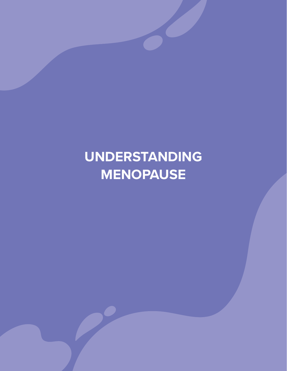# **UNDERSTANDING MENOPAUSE**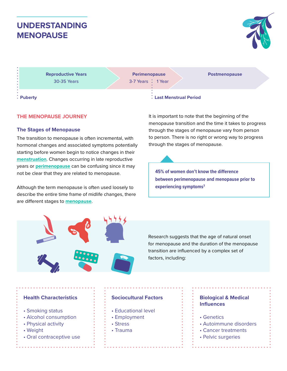## **UNDERSTANDING MENOPAUSE**



**Reproductive Years** 30-35 Years

**Perimenopause** 3-7 Years : 1 Year **Postmenopause**

#### **The Stages of Menopause**

**THE MENOPAUSE JOURNEY**

The transition to menopause is often incremental, with hormonal changes and associated symptoms potentially starting before women begin to notice changes in their **menstruation**. Changes occurring in late reproductive years or **perimenopause** can be confusing since it may not be clear that they are related to menopause.

Although the term menopause is often used loosely to describe the entire time frame of midlife changes, there are different stages to **menopause**.

**Puberty Last Menstrual Period**

It is important to note that the beginning of the menopause transition and the time it takes to progress through the stages of menopause vary from person to person. There is no right or wrong way to progress through the stages of menopause.

**45% of women don't know the difference between perimenopause and menopause prior to experiencing symptoms3**

Research suggests that the age of natural onset for menopause and the duration of the menopause transition are influenced by a complex set of factors, including:

#### **Health Characteristics**

- Smoking status
- Alcohol consumption
- Physical activity
- Weight
- Oral contraceptive use

### **Sociocultural Factors**

- Educational level
- Employment
- Stress
- Trauma

#### **Biological & Medical Influences**

- Genetics
- Autoimmune disorders
- Cancer treatments
- Pelvic surgeries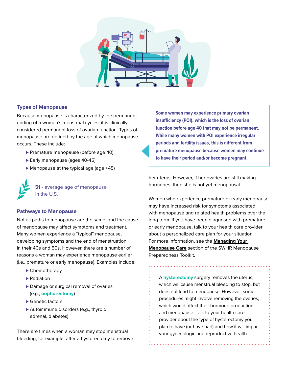

#### **Types of Menopause**

Because menopause is characterized by the permanent ending of a woman's menstrual cycles, it is clinically considered permanent loss of ovarian function. Types of menopause are defined by the age at which menopause occurs. These include:

- ▶ Premature menopause (before age 40)
- ► Early menopause (ages 40-45)
- ► Menopause at the typical age (age >45)

**51** - average age of menopause in the  $U.S.<sup>1</sup>$ 

#### **Pathways to Menopause**

Not all paths to menopause are the same, and the cause of menopause may affect symptoms and treatment. Many women experience a "typical" menopause, developing symptoms and the end of menstruation in their 40s and 50s. However, there are a number of reasons a woman may experience menopause earlier (i.e., premature or early menopause). Examples include:

- ► Chemotherapy
- ▶ Radiation
- ▶ Damage or surgical removal of ovaries (e.g., **oophorectomy**)
- ► Genetic factors
- ▶ Autoimmune disorders (e.g., thyroid, adrenal, diabetes)

There are times when a woman may stop menstrual bleeding, for example, after a hysterectomy to remove

**Some women may experience primary ovarian insufficiency (POI), which is the loss of ovarian function before age 40 that may not be permanent. While many women with POI experience irregular periods and fertility issues, this is different from premature menopause because women may continue to have their period and/or become pregnant.**

her uterus. However, if her ovaries are still making hormones, then she is not yet menopausal.

Women who experience premature or early menopause may have increased risk for symptoms associated with menopause and related health problems over the long term. If you have been diagnosed with premature or early menopause, talk to your health care provider about a personalized care plan for your situation. For more information, see the **Managing Your Menopause Care** section of the SWHR Menopause Preparedness Toolkit.

A **hysterectomy** surgery removes the uterus, which will cause menstrual bleeding to stop, but does not lead to menopause. However, some procedures might involve removing the ovaries, which would affect their hormone production and menopause. Talk to your health care provider about the type of hysterectomy you plan to have (or have had) and how it will impact your gynecologic and reproductive health.